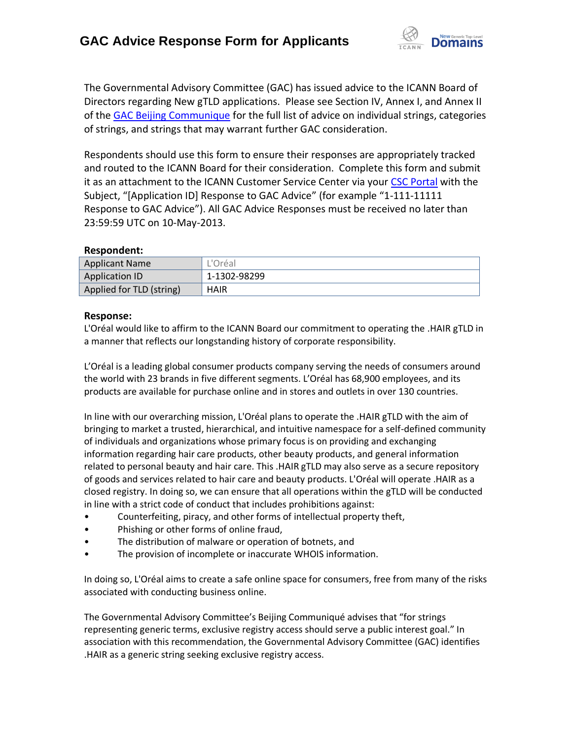

The Governmental Advisory Committee (GAC) has issued advice to the ICANN Board of Directors regarding New gTLD applications. Please see Section IV, Annex I, and Annex II of the [GAC Beijing Communique](http://www.icann.org/en/news/correspondence/gac-to-board-18apr13-en.pdf) for the full list of advice on individual strings, categories of strings, and strings that may warrant further GAC consideration.

Respondents should use this form to ensure their responses are appropriately tracked and routed to the ICANN Board for their consideration. Complete this form and submit it as an attachment to the ICANN Customer Service Center via your CSC [Portal](https://myicann.secure.force.com/) with the Subject, "[Application ID] Response to GAC Advice" (for example "1-111-11111 Response to GAC Advice"). All GAC Advice Responses must be received no later than 23:59:59 UTC on 10-May-2013.

## **Respondent:**

| <b>Applicant Name</b>    | L'Oréal      |
|--------------------------|--------------|
| Application ID           | 1-1302-98299 |
| Applied for TLD (string) | <b>HAIR</b>  |

## **Response:**

L'Oréal would like to affirm to the ICANN Board our commitment to operating the .HAIR gTLD in a manner that reflects our longstanding history of corporate responsibility.

L'Oréal is a leading global consumer products company serving the needs of consumers around the world with 23 brands in five different segments. L'Oréal has 68,900 employees, and its products are available for purchase online and in stores and outlets in over 130 countries.

In line with our overarching mission, L'Oréal plans to operate the .HAIR gTLD with the aim of bringing to market a trusted, hierarchical, and intuitive namespace for a self-defined community of individuals and organizations whose primary focus is on providing and exchanging information regarding hair care products, other beauty products, and general information related to personal beauty and hair care. This .HAIR gTLD may also serve as a secure repository of goods and services related to hair care and beauty products. L'Oréal will operate .HAIR as a closed registry. In doing so, we can ensure that all operations within the gTLD will be conducted in line with a strict code of conduct that includes prohibitions against:

- Counterfeiting, piracy, and other forms of intellectual property theft,
- Phishing or other forms of online fraud,
- The distribution of malware or operation of botnets, and
- The provision of incomplete or inaccurate WHOIS information.

In doing so, L'Oréal aims to create a safe online space for consumers, free from many of the risks associated with conducting business online.

The Governmental Advisory Committee's Beijing Communiqué advises that "for strings representing generic terms, exclusive registry access should serve a public interest goal." In association with this recommendation, the Governmental Advisory Committee (GAC) identifies .HAIR as a generic string seeking exclusive registry access.